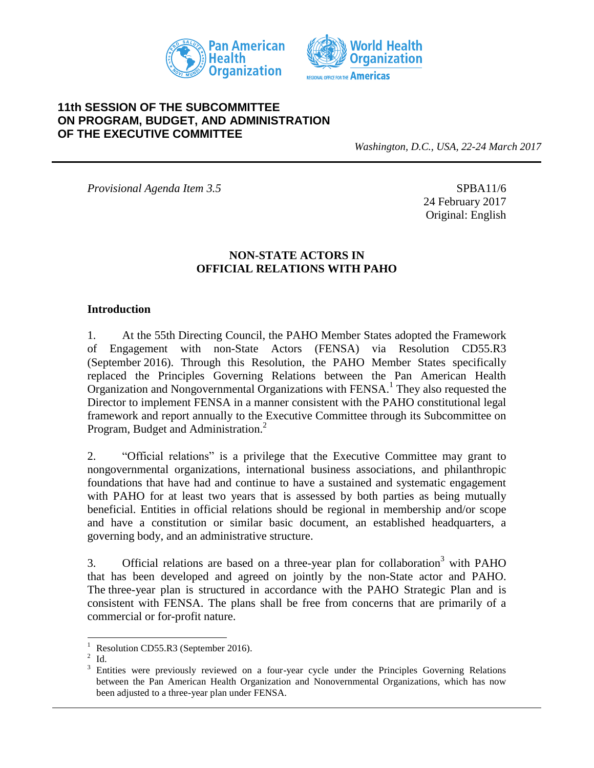



### **11th SESSION OF THE SUBCOMMITTEE ON PROGRAM, BUDGET, AND ADMINISTRATION OF THE EXECUTIVE COMMITTEE**

*Washington, D.C., USA, 22-24 March 2017*

*Provisional Agenda Item 3.5* SPBA11/6

24 February 2017 Original: English

#### **NON-STATE ACTORS IN OFFICIAL RELATIONS WITH PAHO**

#### **Introduction**

1. At the 55th Directing Council, the PAHO Member States adopted the Framework of Engagement with non-State Actors (FENSA) via Resolution CD55.R3 (September 2016). Through this Resolution, the PAHO Member States specifically replaced the Principles Governing Relations between the Pan American Health Organization and Nongovernmental Organizations with FENSA.<sup>1</sup> They also requested the Director to implement FENSA in a manner consistent with the PAHO constitutional legal framework and report annually to the Executive Committee through its Subcommittee on Program, Budget and Administration.<sup>2</sup>

2. "Official relations" is a privilege that the Executive Committee may grant to nongovernmental organizations, international business associations, and philanthropic foundations that have had and continue to have a sustained and systematic engagement with PAHO for at least two years that is assessed by both parties as being mutually beneficial. Entities in official relations should be regional in membership and/or scope and have a constitution or similar basic document, an established headquarters, a governing body, and an administrative structure.

3. Official relations are based on a three-year plan for collaboration<sup>3</sup> with PAHO that has been developed and agreed on jointly by the non-State actor and PAHO. The three-year plan is structured in accordance with the PAHO Strategic Plan and is consistent with FENSA. The plans shall be free from concerns that are primarily of a commercial or for-profit nature.

 $\mathbf{1}$ Resolution CD55.R3 (September 2016).

 $2$  Id.

<sup>3</sup> Entities were previously reviewed on a four-year cycle under the Principles Governing Relations between the Pan American Health Organization and Nonovernmental Organizations, which has now been adjusted to a three-year plan under FENSA.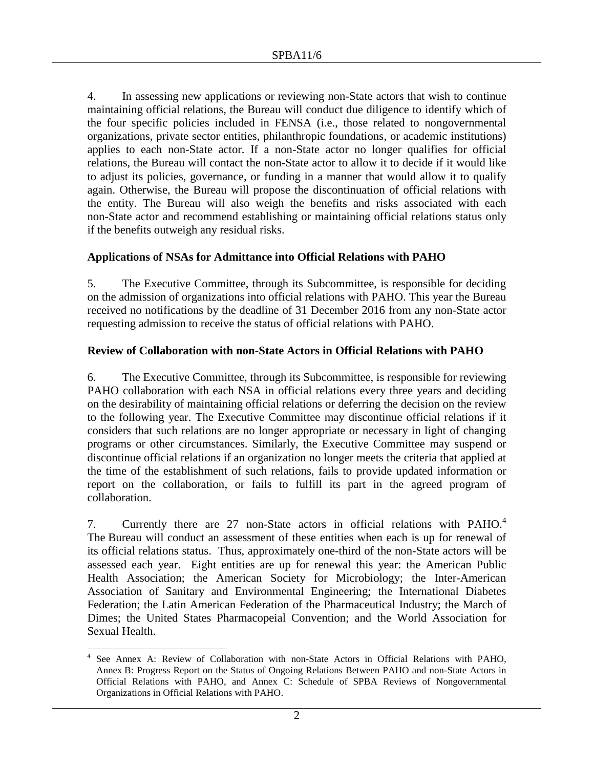4. In assessing new applications or reviewing non-State actors that wish to continue maintaining official relations, the Bureau will conduct due diligence to identify which of the four specific policies included in FENSA (i.e., those related to nongovernmental organizations, private sector entities, philanthropic foundations, or academic institutions) applies to each non-State actor. If a non-State actor no longer qualifies for official relations, the Bureau will contact the non-State actor to allow it to decide if it would like to adjust its policies, governance, or funding in a manner that would allow it to qualify again. Otherwise, the Bureau will propose the discontinuation of official relations with the entity. The Bureau will also weigh the benefits and risks associated with each non-State actor and recommend establishing or maintaining official relations status only if the benefits outweigh any residual risks.

### **Applications of NSAs for Admittance into Official Relations with PAHO**

5. The Executive Committee, through its Subcommittee, is responsible for deciding on the admission of organizations into official relations with PAHO. This year the Bureau received no notifications by the deadline of 31 December 2016 from any non-State actor requesting admission to receive the status of official relations with PAHO.

### **Review of Collaboration with non-State Actors in Official Relations with PAHO**

6. The Executive Committee, through its Subcommittee, is responsible for reviewing PAHO collaboration with each NSA in official relations every three years and deciding on the desirability of maintaining official relations or deferring the decision on the review to the following year. The Executive Committee may discontinue official relations if it considers that such relations are no longer appropriate or necessary in light of changing programs or other circumstances. Similarly, the Executive Committee may suspend or discontinue official relations if an organization no longer meets the criteria that applied at the time of the establishment of such relations, fails to provide updated information or report on the collaboration, or fails to fulfill its part in the agreed program of collaboration.

7. Currently there are 27 non-State actors in official relations with PAHO.<sup>4</sup> The Bureau will conduct an assessment of these entities when each is up for renewal of its official relations status. Thus, approximately one-third of the non-State actors will be assessed each year. Eight entities are up for renewal this year: the American Public Health Association; the American Society for Microbiology; the Inter-American Association of Sanitary and Environmental Engineering; the International Diabetes Federation; the Latin American Federation of the Pharmaceutical Industry; the March of Dimes; the United States Pharmacopeial Convention; and the World Association for Sexual Health.

 $\overline{a}$ 

<sup>4</sup> See Annex A: Review of Collaboration with non-State Actors in Official Relations with PAHO, Annex B: Progress Report on the Status of Ongoing Relations Between PAHO and non-State Actors in Official Relations with PAHO, and Annex C: Schedule of SPBA Reviews of Nongovernmental Organizations in Official Relations with PAHO.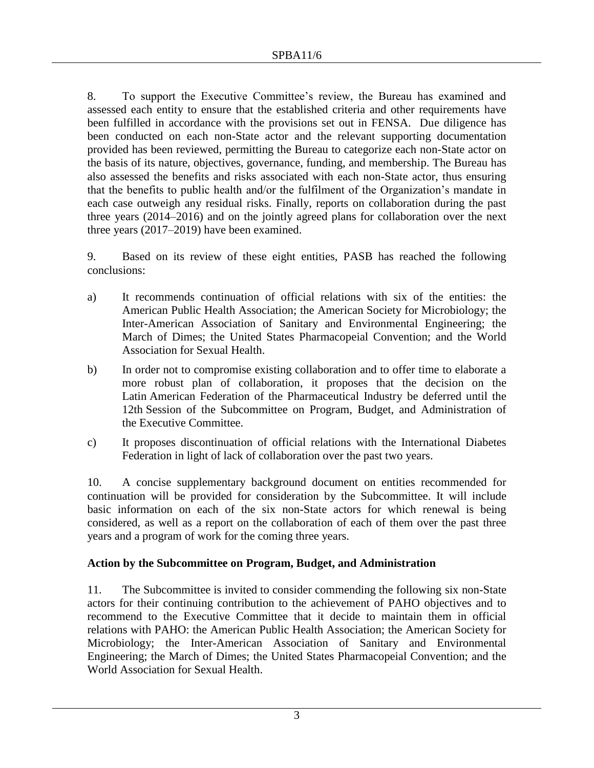8. To support the Executive Committee's review, the Bureau has examined and assessed each entity to ensure that the established criteria and other requirements have been fulfilled in accordance with the provisions set out in FENSA. Due diligence has been conducted on each non-State actor and the relevant supporting documentation provided has been reviewed, permitting the Bureau to categorize each non-State actor on the basis of its nature, objectives, governance, funding, and membership. The Bureau has also assessed the benefits and risks associated with each non-State actor, thus ensuring that the benefits to public health and/or the fulfilment of the Organization's mandate in each case outweigh any residual risks. Finally, reports on collaboration during the past three years (2014–2016) and on the jointly agreed plans for collaboration over the next three years (2017–2019) have been examined.

9. Based on its review of these eight entities, PASB has reached the following conclusions:

- a) It recommends continuation of official relations with six of the entities: the American Public Health Association; the American Society for Microbiology; the Inter-American Association of Sanitary and Environmental Engineering; the March of Dimes; the United States Pharmacopeial Convention; and the World Association for Sexual Health.
- b) In order not to compromise existing collaboration and to offer time to elaborate a more robust plan of collaboration, it proposes that the decision on the Latin American Federation of the Pharmaceutical Industry be deferred until the 12th Session of the Subcommittee on Program, Budget, and Administration of the Executive Committee.
- c) It proposes discontinuation of official relations with the International Diabetes Federation in light of lack of collaboration over the past two years.

10. A concise supplementary background document on entities recommended for continuation will be provided for consideration by the Subcommittee. It will include basic information on each of the six non-State actors for which renewal is being considered, as well as a report on the collaboration of each of them over the past three years and a program of work for the coming three years.

## **Action by the Subcommittee on Program, Budget, and Administration**

11. The Subcommittee is invited to consider commending the following six non-State actors for their continuing contribution to the achievement of PAHO objectives and to recommend to the Executive Committee that it decide to maintain them in official relations with PAHO: the American Public Health Association; the American Society for Microbiology; the Inter-American Association of Sanitary and Environmental Engineering; the March of Dimes; the United States Pharmacopeial Convention; and the World Association for Sexual Health.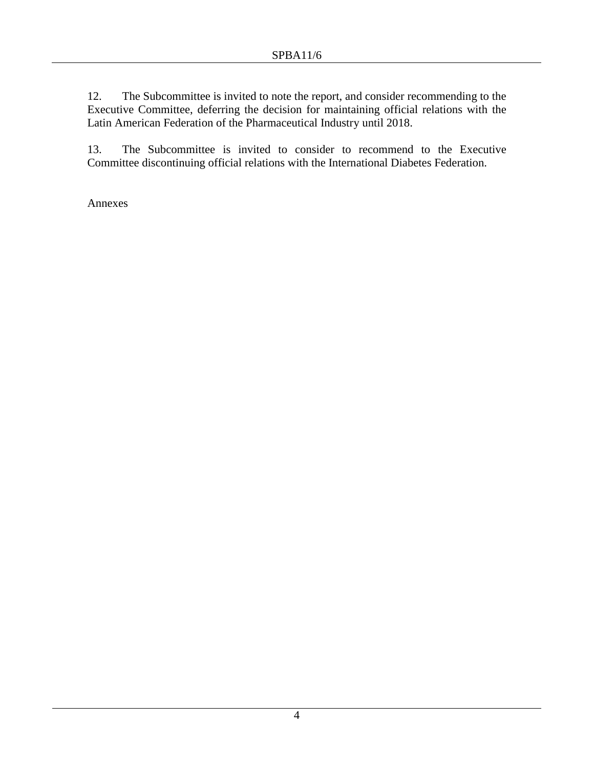12. The Subcommittee is invited to note the report, and consider recommending to the Executive Committee, deferring the decision for maintaining official relations with the Latin American Federation of the Pharmaceutical Industry until 2018.

13. The Subcommittee is invited to consider to recommend to the Executive Committee discontinuing official relations with the International Diabetes Federation.

Annexes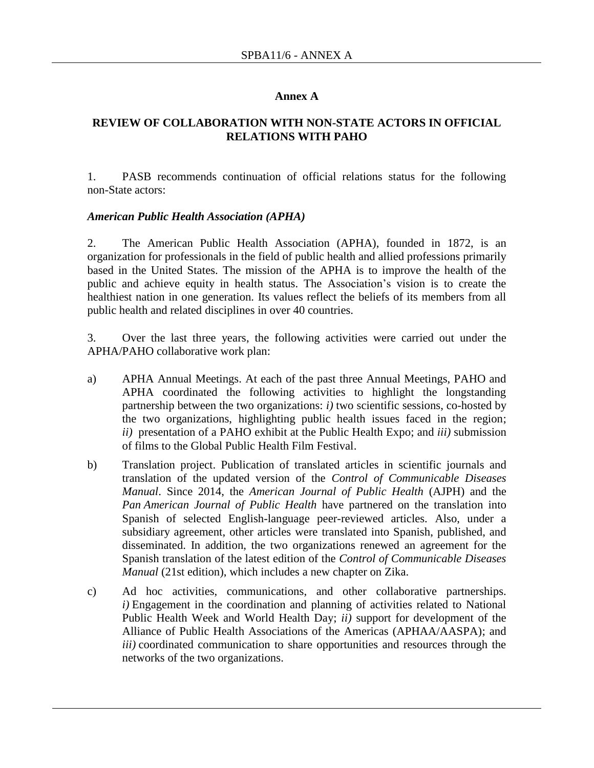#### **Annex A**

#### **REVIEW OF COLLABORATION WITH NON-STATE ACTORS IN OFFICIAL RELATIONS WITH PAHO**

1. PASB recommends continuation of official relations status for the following non-State actors:

#### *American Public Health Association (APHA)*

2. The American Public Health Association (APHA), founded in 1872, is an organization for professionals in the field of public health and allied professions primarily based in the United States. The mission of the APHA is to improve the health of the public and achieve equity in health status. The Association's vision is to create the healthiest nation in one generation. Its values reflect the beliefs of its members from all public health and related disciplines in over 40 countries.

3. Over the last three years, the following activities were carried out under the APHA/PAHO collaborative work plan:

- a) APHA Annual Meetings. At each of the past three Annual Meetings, PAHO and APHA coordinated the following activities to highlight the longstanding partnership between the two organizations: *i)* two scientific sessions, co-hosted by the two organizations, highlighting public health issues faced in the region; *ii)* presentation of a PAHO exhibit at the Public Health Expo; and *iii)* submission of films to the Global Public Health Film Festival.
- b) Translation project. Publication of translated articles in scientific journals and translation of the updated version of the *Control of Communicable Diseases Manual*. Since 2014, the *American Journal of Public Health* (AJPH) and the *Pan American Journal of Public Health* have partnered on the translation into Spanish of selected English-language peer-reviewed articles. Also, under a subsidiary agreement, other articles were translated into Spanish, published, and disseminated. In addition, the two organizations renewed an agreement for the Spanish translation of the latest edition of the *Control of Communicable Diseases Manual* (21st edition), which includes a new chapter on Zika.
- c) Ad hoc activities, communications, and other collaborative partnerships. *i)* Engagement in the coordination and planning of activities related to National Public Health Week and World Health Day; *ii)* support for development of the Alliance of Public Health Associations of the Americas (APHAA/AASPA); and *iii)* coordinated communication to share opportunities and resources through the networks of the two organizations.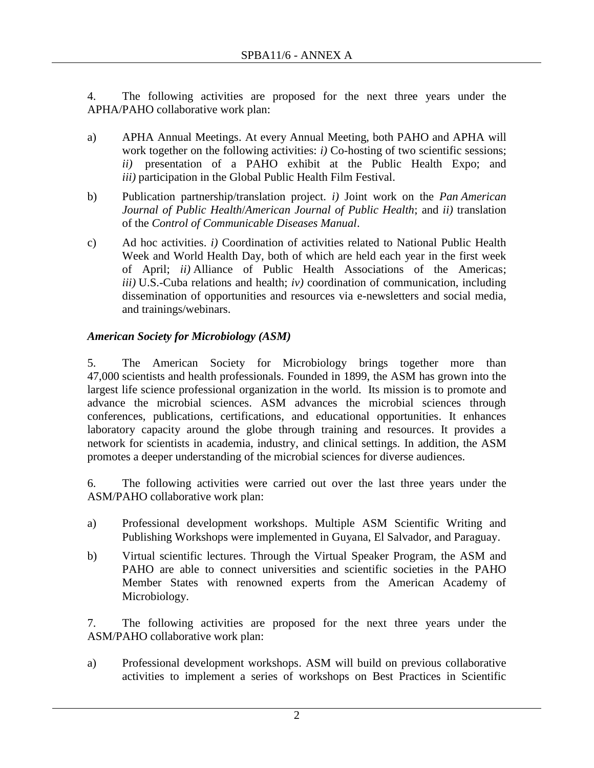4. The following activities are proposed for the next three years under the APHA/PAHO collaborative work plan:

- a) APHA Annual Meetings. At every Annual Meeting, both PAHO and APHA will work together on the following activities: *i*) Co-hosting of two scientific sessions; *ii)* presentation of a PAHO exhibit at the Public Health Expo; and *iii)* participation in the Global Public Health Film Festival.
- b) Publication partnership/translation project. *i)* Joint work on the *Pan American Journal of Public Health*/*American Journal of Public Health*; and *ii)* translation of the *Control of Communicable Diseases Manual*.
- c) Ad hoc activities. *i)* Coordination of activities related to National Public Health Week and World Health Day, both of which are held each year in the first week of April; *ii)* Alliance of Public Health Associations of the Americas; *iii)* U.S.-Cuba relations and health; *iv)* coordination of communication, including dissemination of opportunities and resources via e-newsletters and social media, and trainings/webinars.

# *American Society for Microbiology (ASM)*

5. The American Society for Microbiology brings together more than 47,000 scientists and health professionals. Founded in 1899, the ASM has grown into the largest life science professional organization in the world. Its mission is to promote and advance the microbial sciences. ASM advances the microbial sciences through conferences, publications, certifications, and educational opportunities. It enhances laboratory capacity around the globe through training and resources. It provides a network for scientists in academia, industry, and clinical settings. In addition, the ASM promotes a deeper understanding of the microbial sciences for diverse audiences.

6. The following activities were carried out over the last three years under the ASM/PAHO collaborative work plan:

- a) Professional development workshops. Multiple ASM Scientific Writing and Publishing Workshops were implemented in Guyana, El Salvador, and Paraguay.
- b) Virtual scientific lectures. Through the Virtual Speaker Program, the ASM and PAHO are able to connect universities and scientific societies in the PAHO Member States with renowned experts from the American Academy of Microbiology.

7. The following activities are proposed for the next three years under the ASM/PAHO collaborative work plan:

a) Professional development workshops. ASM will build on previous collaborative activities to implement a series of workshops on Best Practices in Scientific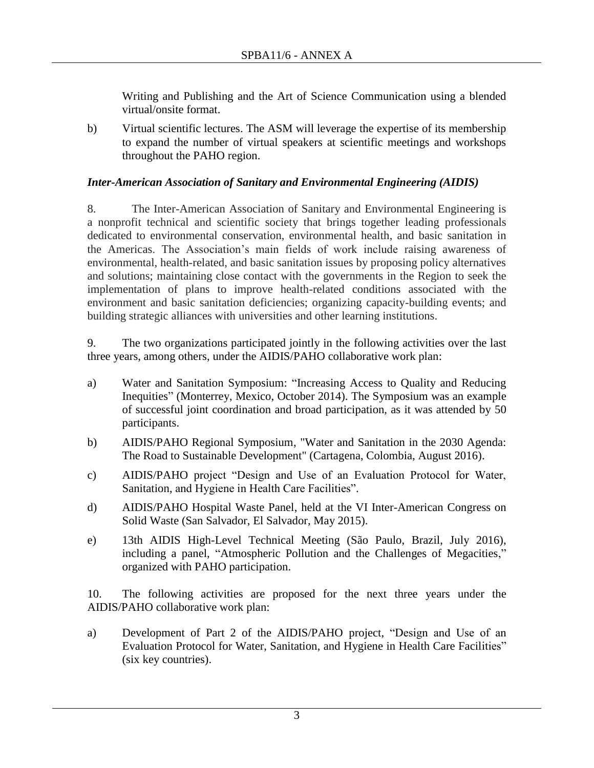Writing and Publishing and the Art of Science Communication using a blended virtual/onsite format.

b) Virtual scientific lectures. The ASM will leverage the expertise of its membership to expand the number of virtual speakers at scientific meetings and workshops throughout the PAHO region.

### *Inter-American Association of Sanitary and Environmental Engineering (AIDIS)*

8. The Inter-American Association of Sanitary and Environmental Engineering is a nonprofit technical and scientific society that brings together leading professionals dedicated to environmental conservation, environmental health, and basic sanitation in the Americas. The Association's main fields of work include raising awareness of environmental, health-related, and basic sanitation issues by proposing policy alternatives and solutions; maintaining close contact with the governments in the Region to seek the implementation of plans to improve health-related conditions associated with the environment and basic sanitation deficiencies; organizing capacity-building events; and building strategic alliances with universities and other learning institutions.

9. The two organizations participated jointly in the following activities over the last three years, among others, under the AIDIS/PAHO collaborative work plan:

- a) Water and Sanitation Symposium: "Increasing Access to Quality and Reducing Inequities" (Monterrey, Mexico, October 2014). The Symposium was an example of successful joint coordination and broad participation, as it was attended by 50 participants.
- b) AIDIS/PAHO Regional Symposium, "Water and Sanitation in the 2030 Agenda: The Road to Sustainable Development" (Cartagena, Colombia, August 2016).
- c) AIDIS/PAHO project "Design and Use of an Evaluation Protocol for Water, Sanitation, and Hygiene in Health Care Facilities".
- d) AIDIS/PAHO Hospital Waste Panel, held at the VI Inter-American Congress on Solid Waste (San Salvador, El Salvador, May 2015).
- e) 13th AIDIS High-Level Technical Meeting (São Paulo, Brazil, July 2016), including a panel, "Atmospheric Pollution and the Challenges of Megacities," organized with PAHO participation.

10. The following activities are proposed for the next three years under the AIDIS/PAHO collaborative work plan:

a) Development of Part 2 of the AIDIS/PAHO project, "Design and Use of an Evaluation Protocol for Water, Sanitation, and Hygiene in Health Care Facilities" (six key countries).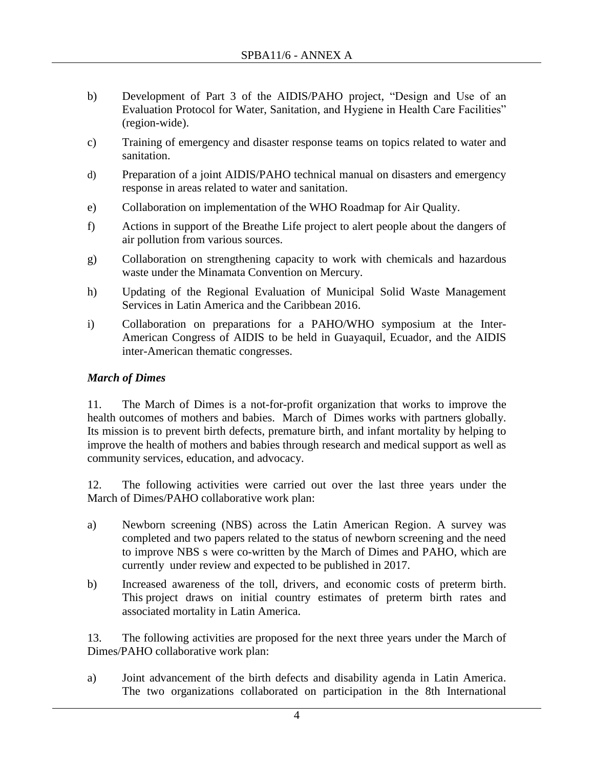- b) Development of Part 3 of the AIDIS/PAHO project, "Design and Use of an Evaluation Protocol for Water, Sanitation, and Hygiene in Health Care Facilities" (region-wide).
- c) Training of emergency and disaster response teams on topics related to water and sanitation.
- d) Preparation of a joint AIDIS/PAHO technical manual on disasters and emergency response in areas related to water and sanitation.
- e) Collaboration on implementation of the WHO Roadmap for Air Quality.
- f) Actions in support of the Breathe Life project to alert people about the dangers of air pollution from various sources.
- g) Collaboration on strengthening capacity to work with chemicals and hazardous waste under the Minamata Convention on Mercury.
- h) Updating of the Regional Evaluation of Municipal Solid Waste Management Services in Latin America and the Caribbean 2016.
- i) Collaboration on preparations for a PAHO/WHO symposium at the Inter-American Congress of AIDIS to be held in Guayaquil, Ecuador, and the AIDIS inter-American thematic congresses.

## *March of Dimes*

11. The March of Dimes is a not-for-profit organization that works to improve the health outcomes of mothers and babies. March of Dimes works with partners globally. Its mission is to prevent birth defects, premature birth, and infant mortality by helping to improve the health of mothers and babies through research and medical support as well as community services, education, and advocacy.

12. The following activities were carried out over the last three years under the March of Dimes/PAHO collaborative work plan:

- a) Newborn screening (NBS) across the Latin American Region. A survey was completed and two papers related to the status of newborn screening and the need to improve NBS s were co-written by the March of Dimes and PAHO, which are currently under review and expected to be published in 2017.
- b) Increased awareness of the toll, drivers, and economic costs of preterm birth. This project draws on initial country estimates of preterm birth rates and associated mortality in Latin America.

13. The following activities are proposed for the next three years under the March of Dimes/PAHO collaborative work plan:

a) Joint advancement of the birth defects and disability agenda in Latin America. The two organizations collaborated on participation in the 8th International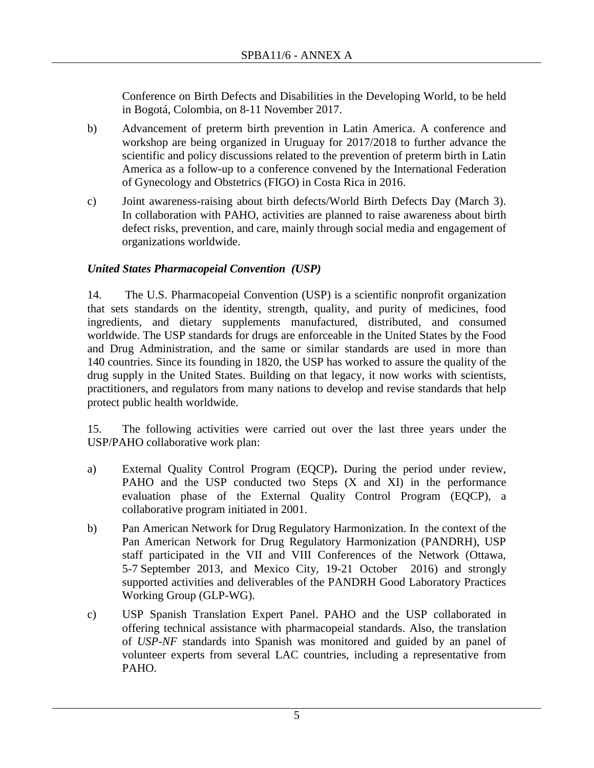Conference on Birth Defects and Disabilities in the Developing World, to be held in Bogotá, Colombia, on 8-11 November 2017.

- b) Advancement of preterm birth prevention in Latin America. A conference and workshop are being organized in Uruguay for 2017/2018 to further advance the scientific and policy discussions related to the prevention of preterm birth in Latin America as a follow-up to a conference convened by the International Federation of Gynecology and Obstetrics (FIGO) in Costa Rica in 2016.
- c) Joint awareness-raising about birth defects/World Birth Defects Day (March 3). In collaboration with PAHO, activities are planned to raise awareness about birth defect risks, prevention, and care, mainly through social media and engagement of organizations worldwide.

### *United States Pharmacopeial Convention (USP)*

14. The U.S. Pharmacopeial Convention (USP) is a scientific nonprofit organization that sets standards on the identity, strength, quality, and purity of medicines, food ingredients, and dietary supplements manufactured, distributed, and consumed worldwide. The USP standards for drugs are enforceable in the United States by the Food and Drug Administration, and the same or similar standards are used in more than 140 countries. Since its founding in 1820, the USP has worked to assure the quality of the drug supply in the United States. Building on that legacy, it now works with scientists, practitioners, and regulators from many nations to develop and revise standards that help protect public health worldwide.

15. The following activities were carried out over the last three years under the USP/PAHO collaborative work plan:

- a) External Quality Control Program (EQCP)**.** During the period under review, PAHO and the USP conducted two Steps (X and XI) in the performance evaluation phase of the External Quality Control Program (EQCP), a collaborative program initiated in 2001.
- b) Pan American Network for Drug Regulatory Harmonization. In the context of the Pan American Network for Drug Regulatory Harmonization (PANDRH), USP staff participated in the VII and VIII Conferences of the Network (Ottawa, 5-7 September 2013, and Mexico City, 19-21 October 2016) and strongly supported activities and deliverables of the PANDRH Good Laboratory Practices Working Group (GLP-WG).
- c) USP Spanish Translation Expert Panel. PAHO and the USP collaborated in offering technical assistance with pharmacopeial standards. Also, the translation of *USP-NF* standards into Spanish was monitored and guided by an panel of volunteer experts from several LAC countries, including a representative from PAHO.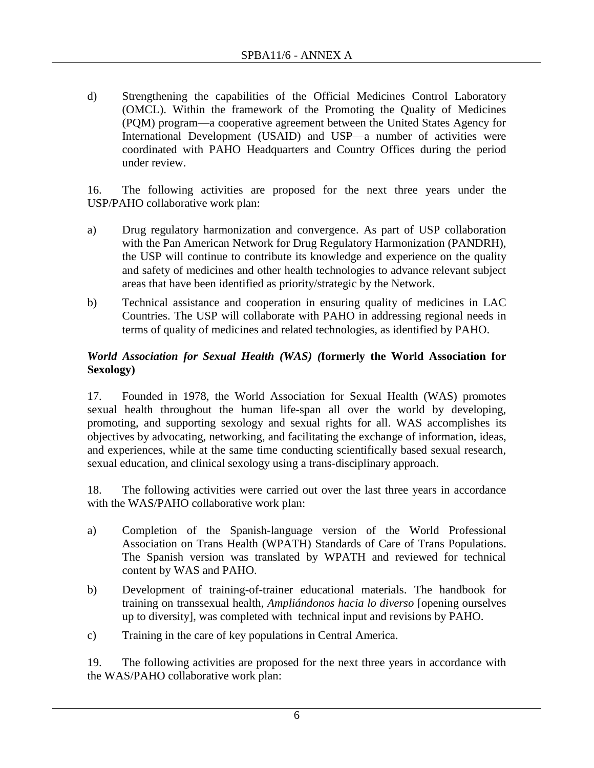d) Strengthening the capabilities of the Official Medicines Control Laboratory (OMCL). Within the framework of the Promoting the Quality of Medicines (PQM) program—a cooperative agreement between the United States Agency for International Development (USAID) and USP—a number of activities were coordinated with PAHO Headquarters and Country Offices during the period under review.

16. The following activities are proposed for the next three years under the USP/PAHO collaborative work plan:

- a) Drug regulatory harmonization and convergence. As part of USP collaboration with the Pan American Network for Drug Regulatory Harmonization (PANDRH), the USP will continue to contribute its knowledge and experience on the quality and safety of medicines and other health technologies to advance relevant subject areas that have been identified as priority/strategic by the Network.
- b) Technical assistance and cooperation in ensuring quality of medicines in LAC Countries. The USP will collaborate with PAHO in addressing regional needs in terms of quality of medicines and related technologies, as identified by PAHO.

## *World Association for Sexual Health (WAS) (***formerly the World Association for Sexology)**

17. Founded in 1978, the World Association for Sexual Health (WAS) promotes sexual health throughout the human life-span all over the world by developing, promoting, and supporting sexology and sexual rights for all. WAS accomplishes its objectives by advocating, networking, and facilitating the exchange of information, ideas, and experiences, while at the same time conducting scientifically based sexual research, sexual education, and clinical sexology using a trans-disciplinary approach.

18. The following activities were carried out over the last three years in accordance with the WAS/PAHO collaborative work plan:

- a) Completion of the Spanish-language version of the World Professional Association on Trans Health (WPATH) Standards of Care of Trans Populations. The Spanish version was translated by WPATH and reviewed for technical content by WAS and PAHO.
- b) Development of training-of-trainer educational materials. The handbook for training on transsexual health, *Ampliándonos hacia lo diverso* [opening ourselves up to diversity], was completed with technical input and revisions by PAHO.
- c) Training in the care of key populations in Central America.

19. The following activities are proposed for the next three years in accordance with the WAS/PAHO collaborative work plan: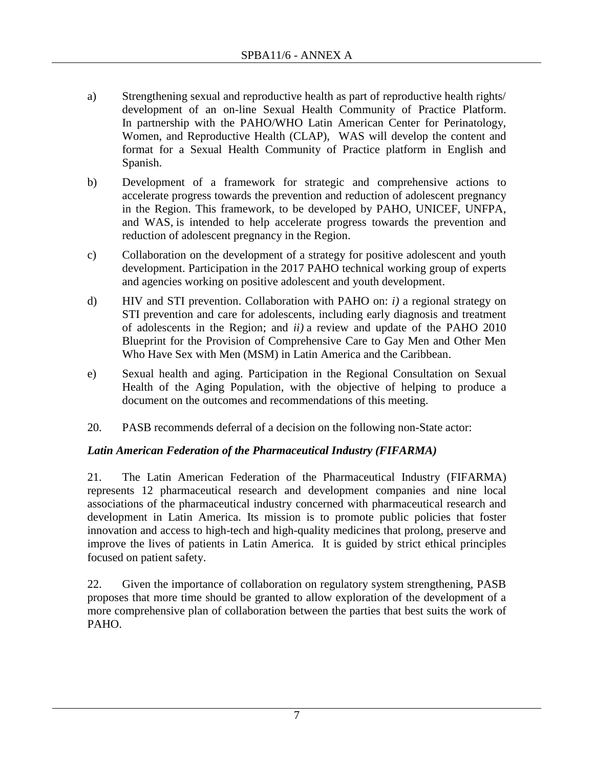- a) Strengthening sexual and reproductive health as part of reproductive health rights/ development of an on-line Sexual Health Community of Practice Platform. In partnership with the PAHO/WHO Latin American Center for Perinatology, Women, and Reproductive Health (CLAP), WAS will develop the content and format for a Sexual Health Community of Practice platform in English and Spanish.
- b) Development of a framework for strategic and comprehensive actions to accelerate progress towards the prevention and reduction of adolescent pregnancy in the Region. This framework, to be developed by PAHO, UNICEF, UNFPA, and WAS, is intended to help accelerate progress towards the prevention and reduction of adolescent pregnancy in the Region.
- c) Collaboration on the development of a strategy for positive adolescent and youth development. Participation in the 2017 PAHO technical working group of experts and agencies working on positive adolescent and youth development.
- d) HIV and STI prevention. Collaboration with PAHO on: *i)* a regional strategy on STI prevention and care for adolescents, including early diagnosis and treatment of adolescents in the Region; and *ii)* a review and update of the PAHO 2010 Blueprint for the Provision of Comprehensive Care to Gay Men and Other Men Who Have Sex with Men (MSM) in Latin America and the Caribbean.
- e) Sexual health and aging. Participation in the Regional Consultation on Sexual Health of the Aging Population, with the objective of helping to produce a document on the outcomes and recommendations of this meeting.
- 20. PASB recommends deferral of a decision on the following non-State actor:

## *Latin American Federation of the Pharmaceutical Industry (FIFARMA)*

21. The Latin American Federation of the Pharmaceutical Industry (FIFARMA) represents 12 pharmaceutical research and development companies and nine local associations of the pharmaceutical industry concerned with pharmaceutical research and development in Latin America. Its mission is to promote public policies that foster innovation and access to high-tech and high-quality medicines that prolong, preserve and improve the lives of patients in Latin America. It is guided by strict ethical principles focused on patient safety.

22. Given the importance of collaboration on regulatory system strengthening, PASB proposes that more time should be granted to allow exploration of the development of a more comprehensive plan of collaboration between the parties that best suits the work of PAHO.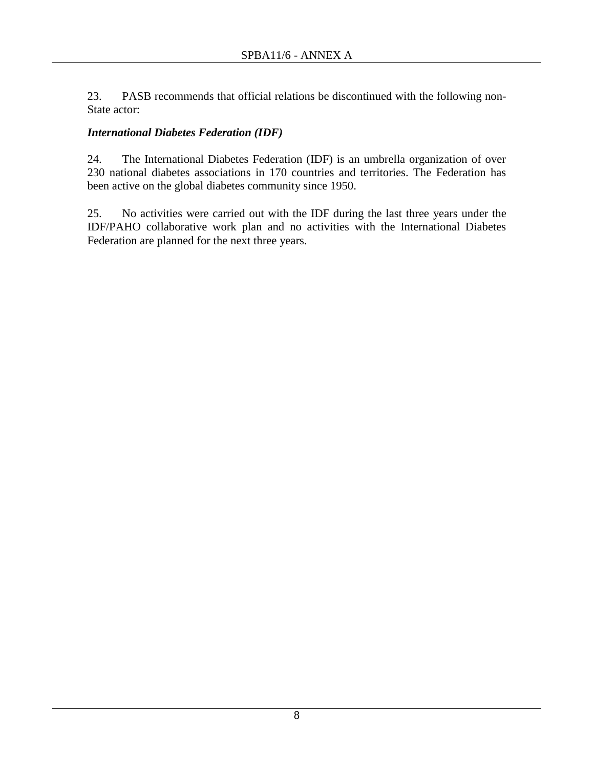23. PASB recommends that official relations be discontinued with the following non-State actor:

## *International Diabetes Federation (IDF)*

24. The International Diabetes Federation (IDF) is an umbrella organization of over 230 national diabetes associations in 170 countries and territories. The Federation has been active on the global diabetes community since 1950.

25. No activities were carried out with the IDF during the last three years under the IDF/PAHO collaborative work plan and no activities with the International Diabetes Federation are planned for the next three years.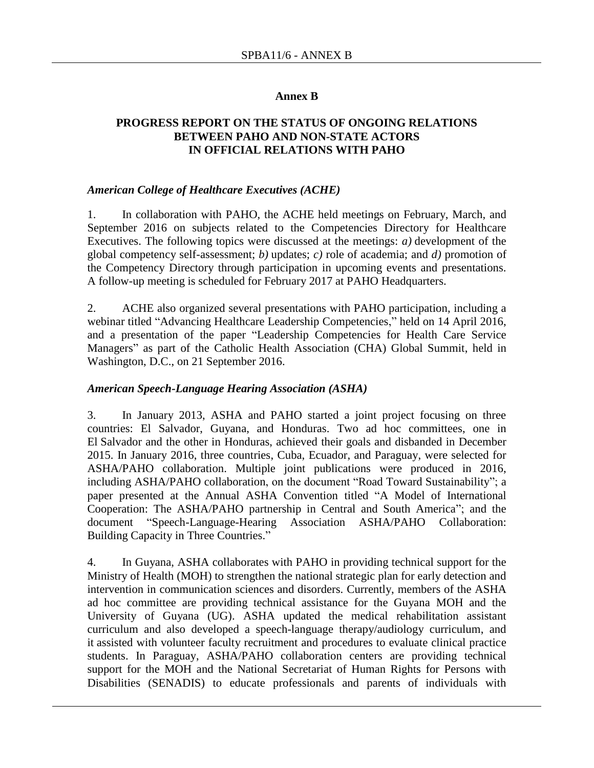#### **Annex B**

#### **PROGRESS REPORT ON THE STATUS OF ONGOING RELATIONS BETWEEN PAHO AND NON-STATE ACTORS IN OFFICIAL RELATIONS WITH PAHO**

#### *American College of Healthcare Executives (ACHE)*

1. In collaboration with PAHO, the ACHE held meetings on February, March, and September 2016 on subjects related to the Competencies Directory for Healthcare Executives. The following topics were discussed at the meetings: *a)* development of the global competency self-assessment; *b)* updates; *c)* role of academia; and *d)* promotion of the Competency Directory through participation in upcoming events and presentations. A follow-up meeting is scheduled for February 2017 at PAHO Headquarters.

2. ACHE also organized several presentations with PAHO participation, including a webinar titled "Advancing Healthcare Leadership Competencies," held on 14 April 2016, and a presentation of the paper "Leadership Competencies for Health Care Service Managers" as part of the Catholic Health Association (CHA) Global Summit, held in Washington, D.C., on 21 September 2016.

#### *American Speech-Language Hearing Association (ASHA)*

3. In January 2013, ASHA and PAHO started a joint project focusing on three countries: El Salvador, Guyana, and Honduras. Two ad hoc committees, one in El Salvador and the other in Honduras, achieved their goals and disbanded in December 2015. In January 2016, three countries, Cuba, Ecuador, and Paraguay, were selected for ASHA/PAHO collaboration. Multiple joint publications were produced in 2016, including ASHA/PAHO collaboration, on the document "Road Toward Sustainability"; a paper presented at the Annual ASHA Convention titled "A Model of International Cooperation: The ASHA/PAHO partnership in Central and South America"; and the document "Speech-Language-Hearing Association ASHA/PAHO Collaboration: Building Capacity in Three Countries."

4. In Guyana, ASHA collaborates with PAHO in providing technical support for the Ministry of Health (MOH) to strengthen the national strategic plan for early detection and intervention in communication sciences and disorders. Currently, members of the ASHA ad hoc committee are providing technical assistance for the Guyana MOH and the University of Guyana (UG). ASHA updated the medical rehabilitation assistant curriculum and also developed a speech-language therapy/audiology curriculum, and it assisted with volunteer faculty recruitment and procedures to evaluate clinical practice students. In Paraguay, ASHA/PAHO collaboration centers are providing technical support for the MOH and the National Secretariat of Human Rights for Persons with Disabilities (SENADIS) to educate professionals and parents of individuals with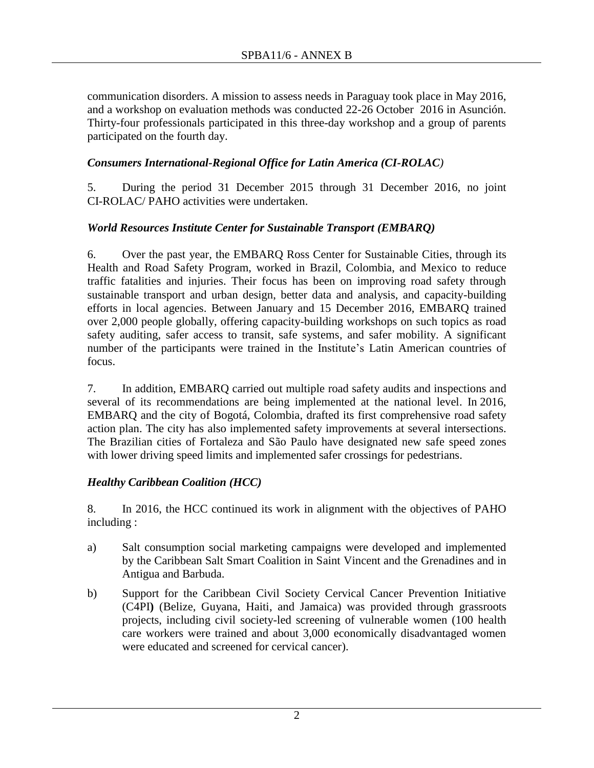communication disorders. A mission to assess needs in Paraguay took place in May 2016, and a workshop on evaluation methods was conducted 22-26 October 2016 in Asunción. Thirty-four professionals participated in this three-day workshop and a group of parents participated on the fourth day.

## *Consumers International-Regional Office for Latin America (CI-ROLAC)*

5. During the period 31 December 2015 through 31 December 2016, no joint CI-ROLAC/ PAHO activities were undertaken.

### *World Resources Institute Center for Sustainable Transport (EMBARQ)*

6. Over the past year, the EMBARQ Ross Center for Sustainable Cities, through its Health and Road Safety Program, worked in Brazil, Colombia, and Mexico to reduce traffic fatalities and injuries. Their focus has been on improving road safety through sustainable transport and urban design, better data and analysis, and capacity-building efforts in local agencies. Between January and 15 December 2016, EMBARQ trained over 2,000 people globally, offering capacity-building workshops on such topics as road safety auditing, safer access to transit, safe systems, and safer mobility. A significant number of the participants were trained in the Institute's Latin American countries of focus.

7. In addition, EMBARQ carried out multiple road safety audits and inspections and several of its recommendations are being implemented at the national level. In 2016, EMBARQ and the city of Bogotá, Colombia, drafted its first comprehensive road safety action plan. The city has also implemented safety improvements at several intersections. The Brazilian cities of Fortaleza and São Paulo have designated new safe speed zones with lower driving speed limits and implemented safer crossings for pedestrians.

## *Healthy Caribbean Coalition (HCC)*

8. In 2016, the HCC continued its work in alignment with the objectives of PAHO including :

- a) Salt consumption social marketing campaigns were developed and implemented by the Caribbean Salt Smart Coalition in Saint Vincent and the Grenadines and in Antigua and Barbuda.
- b) Support for the Caribbean Civil Society Cervical Cancer Prevention Initiative (C4PI**)** (Belize, Guyana, Haiti, and Jamaica) was provided through grassroots projects, including civil society-led screening of vulnerable women (100 health care workers were trained and about 3,000 economically disadvantaged women were educated and screened for cervical cancer).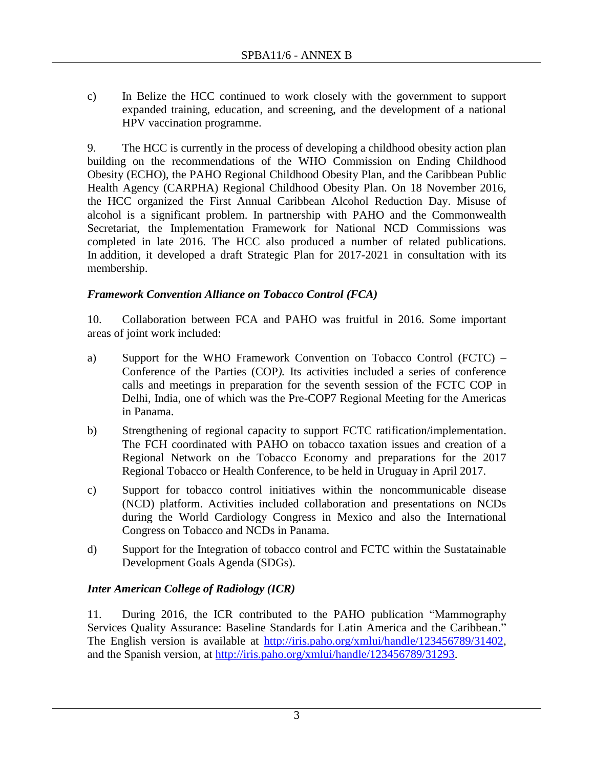c) In Belize the HCC continued to work closely with the government to support expanded training, education, and screening, and the development of a national HPV vaccination programme.

9. The HCC is currently in the process of developing a childhood obesity action plan building on the recommendations of the WHO Commission on Ending Childhood Obesity (ECHO), the PAHO Regional Childhood Obesity Plan, and the Caribbean Public Health Agency (CARPHA) Regional Childhood Obesity Plan. On 18 November 2016, the HCC organized the First Annual Caribbean Alcohol Reduction Day. Misuse of alcohol is a significant problem. In partnership with PAHO and the Commonwealth Secretariat, the Implementation Framework for National NCD Commissions was completed in late 2016. The HCC also produced a number of related publications. In addition, it developed a draft Strategic Plan for 2017-2021 in consultation with its membership.

## *Framework Convention Alliance on Tobacco Control (FCA)*

10. Collaboration between FCA and PAHO was fruitful in 2016. Some important areas of joint work included:

- a) Support for the WHO Framework Convention on Tobacco Control (FCTC) Conference of the Parties (COP*).* Its activities included a series of conference calls and meetings in preparation for the seventh session of the FCTC COP in Delhi, India, one of which was the Pre-COP7 Regional Meeting for the Americas in Panama.
- b) Strengthening of regional capacity to support FCTC ratification/implementation. The FCH coordinated with PAHO on tobacco taxation issues and creation of a Regional Network on the Tobacco Economy and preparations for the 2017 Regional Tobacco or Health Conference, to be held in Uruguay in April 2017.
- c) Support for tobacco control initiatives within the noncommunicable disease (NCD) platform. Activities included collaboration and presentations on NCDs during the World Cardiology Congress in Mexico and also the International Congress on Tobacco and NCDs in Panama.
- d) Support for the Integration of tobacco control and FCTC within the Sustatainable Development Goals Agenda (SDGs).

# *Inter American College of Radiology (ICR)*

11. During 2016, the ICR contributed to the PAHO publication "Mammography Services Quality Assurance: Baseline Standards for Latin America and the Caribbean." The English version is available at [http://iris.paho.org/xmlui/handle/123456789/31402,](http://iris.paho.org/xmlui/handle/123456789/31402) and the Spanish version, at [http://iris.paho.org/xmlui/handle/123456789/31293.](http://iris.paho.org/xmlui/handle/123456789/31293)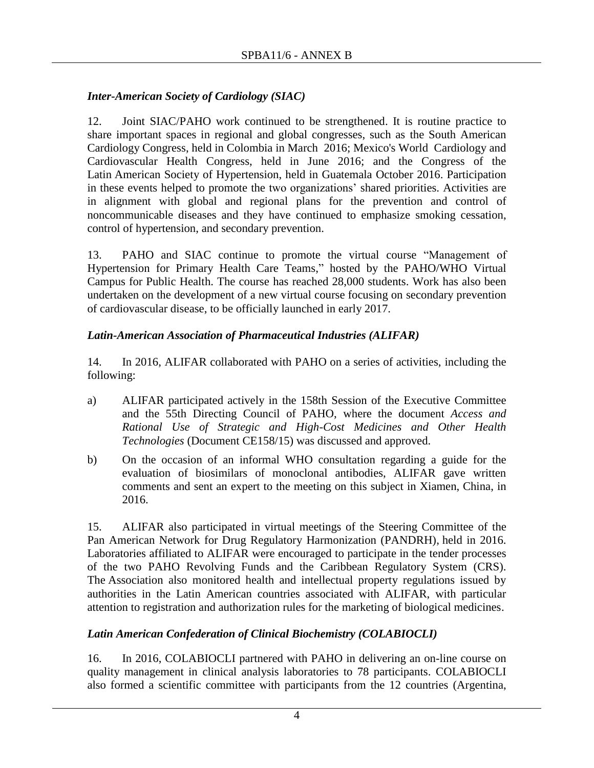# *Inter-American Society of Cardiology (SIAC)*

12. Joint SIAC/PAHO work continued to be strengthened. It is routine practice to share important spaces in regional and global congresses, such as the South American Cardiology Congress, held in Colombia in March 2016; Mexico's World Cardiology and Cardiovascular Health Congress, held in June 2016; and the Congress of the Latin American Society of Hypertension, held in Guatemala October 2016. Participation in these events helped to promote the two organizations' shared priorities. Activities are in alignment with global and regional plans for the prevention and control of noncommunicable diseases and they have continued to emphasize smoking cessation, control of hypertension, and secondary prevention.

13. PAHO and SIAC continue to promote the virtual course "Management of Hypertension for Primary Health Care Teams," hosted by the PAHO/WHO Virtual Campus for Public Health. The course has reached 28,000 students. Work has also been undertaken on the development of a new virtual course focusing on secondary prevention of cardiovascular disease, to be officially launched in early 2017.

# *Latin-American Association of Pharmaceutical Industries (ALIFAR)*

14. In 2016, ALIFAR collaborated with PAHO on a series of activities, including the following:

- a) ALIFAR participated actively in the 158th Session of the Executive Committee and the 55th Directing Council of PAHO, where the document *Access and Rational Use of Strategic and High-Cost Medicines and Other Health Technologies* (Document CE158/15) was discussed and approved.
- b) On the occasion of an informal WHO consultation regarding a guide for the evaluation of biosimilars of monoclonal antibodies, ALIFAR gave written comments and sent an expert to the meeting on this subject in Xiamen, China, in 2016.

15. ALIFAR also participated in virtual meetings of the Steering Committee of the Pan American Network for Drug Regulatory Harmonization (PANDRH), held in 2016. Laboratories affiliated to ALIFAR were encouraged to participate in the tender processes of the two PAHO Revolving Funds and the Caribbean Regulatory System (CRS). The Association also monitored health and intellectual property regulations issued by authorities in the Latin American countries associated with ALIFAR, with particular attention to registration and authorization rules for the marketing of biological medicines.

# *Latin American Confederation of Clinical Biochemistry (COLABIOCLI)*

16. In 2016, COLABIOCLI partnered with PAHO in delivering an on-line course on quality management in clinical analysis laboratories to 78 participants. COLABIOCLI also formed a scientific committee with participants from the 12 countries (Argentina,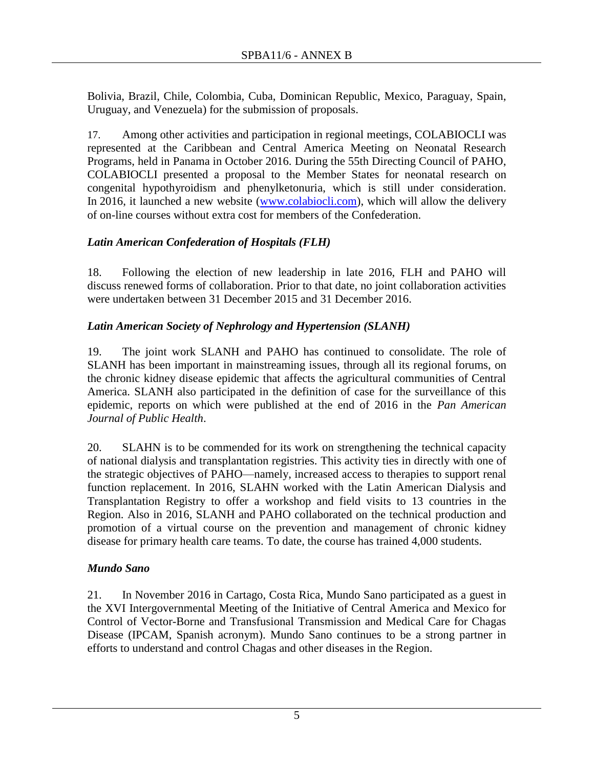Bolivia, Brazil, Chile, Colombia, Cuba, Dominican Republic, Mexico, Paraguay, Spain, Uruguay, and Venezuela) for the submission of proposals.

17. Among other activities and participation in regional meetings, COLABIOCLI was represented at the Caribbean and Central America Meeting on Neonatal Research Programs, held in Panama in October 2016. During the 55th Directing Council of PAHO, COLABIOCLI presented a proposal to the Member States for neonatal research on congenital hypothyroidism and phenylketonuria, which is still under consideration. In 2016, it launched a new website [\(www.colabiocli.com\)](http://www.colabiocli.com/), which will allow the delivery of on-line courses without extra cost for members of the Confederation.

# *Latin American Confederation of Hospitals (FLH)*

18. Following the election of new leadership in late 2016, FLH and PAHO will discuss renewed forms of collaboration. Prior to that date, no joint collaboration activities were undertaken between 31 December 2015 and 31 December 2016.

# *Latin American Society of Nephrology and Hypertension (SLANH)*

19. The joint work SLANH and PAHO has continued to consolidate. The role of SLANH has been important in mainstreaming issues, through all its regional forums, on the chronic kidney disease epidemic that affects the agricultural communities of Central America. SLANH also participated in the definition of case for the surveillance of this epidemic, reports on which were published at the end of 2016 in the *Pan American Journal of Public Health*.

20. SLAHN is to be commended for its work on strengthening the technical capacity of national dialysis and transplantation registries. This activity ties in directly with one of the strategic objectives of PAHO—namely, increased access to therapies to support renal function replacement. In 2016, SLAHN worked with the Latin American Dialysis and Transplantation Registry to offer a workshop and field visits to 13 countries in the Region. Also in 2016, SLANH and PAHO collaborated on the technical production and promotion of a virtual course on the prevention and management of chronic kidney disease for primary health care teams. To date, the course has trained 4,000 students.

# *Mundo Sano*

21. In November 2016 in Cartago, Costa Rica, Mundo Sano participated as a guest in the XVI Intergovernmental Meeting of the Initiative of Central America and Mexico for Control of Vector-Borne and Transfusional Transmission and Medical Care for Chagas Disease (IPCAM, Spanish acronym). Mundo Sano continues to be a strong partner in efforts to understand and control Chagas and other diseases in the Region.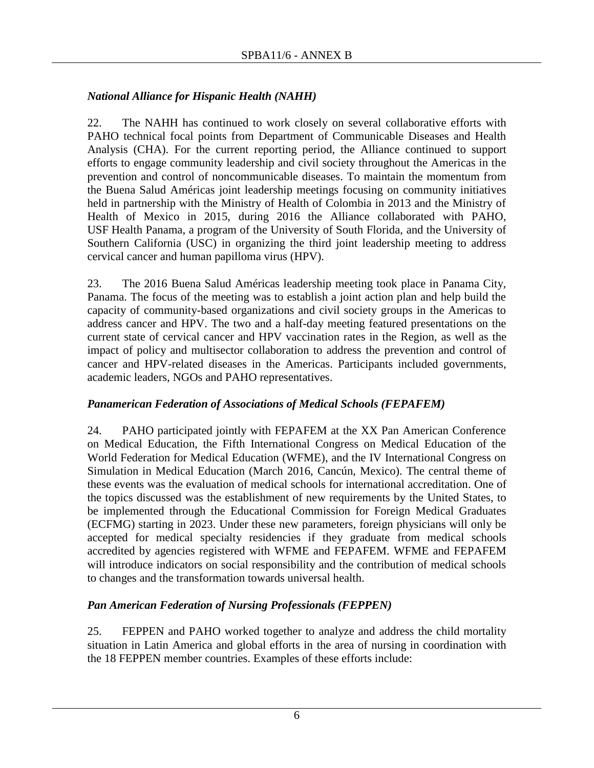# *National Alliance for Hispanic Health (NAHH)*

22. The NAHH has continued to work closely on several collaborative efforts with PAHO technical focal points from Department of Communicable Diseases and Health Analysis (CHA). For the current reporting period, the Alliance continued to support efforts to engage community leadership and civil society throughout the Americas in the prevention and control of noncommunicable diseases. To maintain the momentum from the Buena Salud Américas joint leadership meetings focusing on community initiatives held in partnership with the Ministry of Health of Colombia in 2013 and the Ministry of Health of Mexico in 2015, during 2016 the Alliance collaborated with PAHO, USF Health Panama, a program of the University of South Florida, and the University of Southern California (USC) in organizing the third joint leadership meeting to address cervical cancer and human papilloma virus (HPV).

23. The 2016 Buena Salud Américas leadership meeting took place in Panama City, Panama. The focus of the meeting was to establish a joint action plan and help build the capacity of community-based organizations and civil society groups in the Americas to address cancer and HPV. The two and a half-day meeting featured presentations on the current state of cervical cancer and HPV vaccination rates in the Region, as well as the impact of policy and multisector collaboration to address the prevention and control of cancer and HPV-related diseases in the Americas. Participants included governments, academic leaders, NGOs and PAHO representatives.

## *Panamerican Federation of Associations of Medical Schools (FEPAFEM)*

24. PAHO participated jointly with FEPAFEM at the XX Pan American Conference on Medical Education, the Fifth International Congress on Medical Education of the World Federation for Medical Education (WFME), and the IV International Congress on Simulation in Medical Education (March 2016, Cancún, Mexico). The central theme of these events was the evaluation of medical schools for international accreditation. One of the topics discussed was the establishment of new requirements by the United States, to be implemented through the Educational Commission for Foreign Medical Graduates (ECFMG) starting in 2023. Under these new parameters, foreign physicians will only be accepted for medical specialty residencies if they graduate from medical schools accredited by agencies registered with WFME and FEPAFEM. WFME and FEPAFEM will introduce indicators on social responsibility and the contribution of medical schools to changes and the transformation towards universal health.

# *Pan American Federation of Nursing Professionals (FEPPEN)*

25. FEPPEN and PAHO worked together to analyze and address the child mortality situation in Latin America and global efforts in the area of nursing in coordination with the 18 FEPPEN member countries. Examples of these efforts include: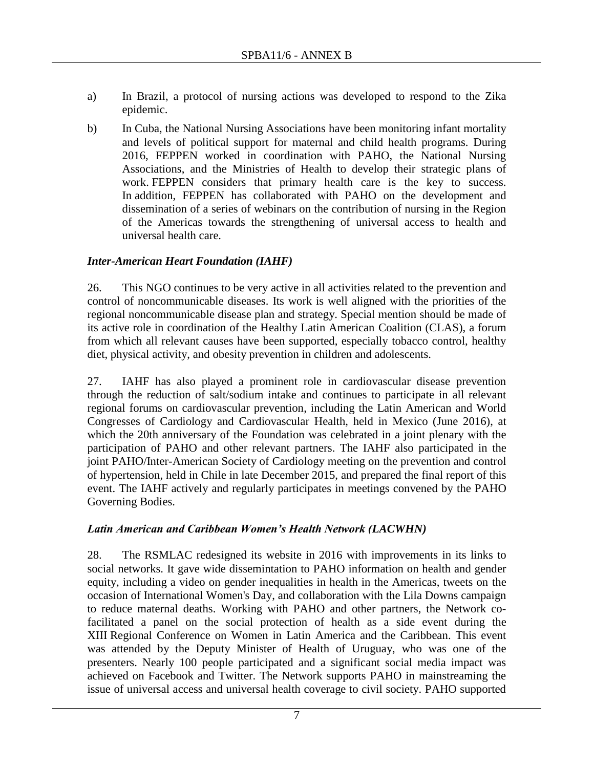- a) In Brazil, a protocol of nursing actions was developed to respond to the Zika epidemic.
- b) In Cuba, the National Nursing Associations have been monitoring infant mortality and levels of political support for maternal and child health programs. During 2016, FEPPEN worked in coordination with PAHO, the National Nursing Associations, and the Ministries of Health to develop their strategic plans of work. FEPPEN considers that primary health care is the key to success. In addition, FEPPEN has collaborated with PAHO on the development and dissemination of a series of webinars on the contribution of nursing in the Region of the Americas towards the strengthening of universal access to health and universal health care.

## *Inter-American Heart Foundation (IAHF)*

26. This NGO continues to be very active in all activities related to the prevention and control of noncommunicable diseases. Its work is well aligned with the priorities of the regional noncommunicable disease plan and strategy. Special mention should be made of its active role in coordination of the Healthy Latin American Coalition (CLAS), a forum from which all relevant causes have been supported, especially tobacco control, healthy diet, physical activity, and obesity prevention in children and adolescents.

27. IAHF has also played a prominent role in cardiovascular disease prevention through the reduction of salt/sodium intake and continues to participate in all relevant regional forums on cardiovascular prevention, including the Latin American and World Congresses of Cardiology and Cardiovascular Health, held in Mexico (June 2016), at which the 20th anniversary of the Foundation was celebrated in a joint plenary with the participation of PAHO and other relevant partners. The IAHF also participated in the joint PAHO/Inter-American Society of Cardiology meeting on the prevention and control of hypertension, held in Chile in late December 2015, and prepared the final report of this event. The IAHF actively and regularly participates in meetings convened by the PAHO Governing Bodies.

## *Latin American and Caribbean Women's Health Network (LACWHN)*

28. The RSMLAC redesigned its website in 2016 with improvements in its links to social networks. It gave wide dissemintation to PAHO information on health and gender equity, including a video on gender inequalities in health in the Americas, tweets on the occasion of International Women's Day, and collaboration with the Lila Downs campaign to reduce maternal deaths. Working with PAHO and other partners, the Network cofacilitated a panel on the social protection of health as a side event during the XIII Regional Conference on Women in Latin America and the Caribbean. This event was attended by the Deputy Minister of Health of Uruguay, who was one of the presenters. Nearly 100 people participated and a significant social media impact was achieved on Facebook and Twitter. The Network supports PAHO in mainstreaming the issue of universal access and universal health coverage to civil society. PAHO supported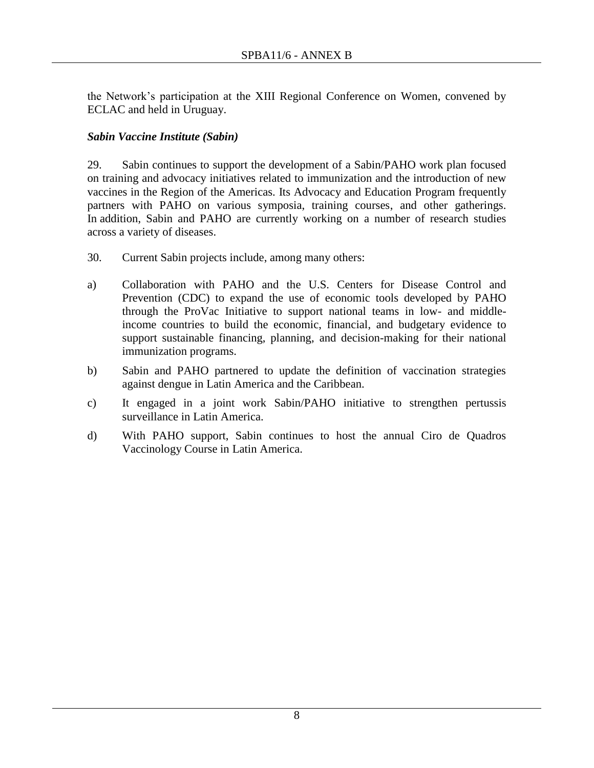the Network's participation at the XIII Regional Conference on Women, convened by ECLAC and held in Uruguay.

## *Sabin Vaccine Institute (Sabin)*

29. Sabin continues to support the development of a Sabin/PAHO work plan focused on training and advocacy initiatives related to immunization and the introduction of new vaccines in the Region of the Americas. Its Advocacy and Education Program frequently partners with PAHO on various symposia, training courses, and other gatherings. In addition, Sabin and PAHO are currently working on a number of research studies across a variety of diseases.

- 30. Current Sabin projects include, among many others:
- a) Collaboration with PAHO and the U.S. Centers for Disease Control and Prevention (CDC) to expand the use of economic tools developed by PAHO through the ProVac Initiative to support national teams in low- and middleincome countries to build the economic, financial, and budgetary evidence to support sustainable financing, planning, and decision-making for their national immunization programs.
- b) Sabin and PAHO partnered to update the definition of vaccination strategies against dengue in Latin America and the Caribbean.
- c) It engaged in a joint work Sabin/PAHO initiative to strengthen pertussis surveillance in Latin America.
- d) With PAHO support, Sabin continues to host the annual Ciro de Quadros Vaccinology Course in Latin America.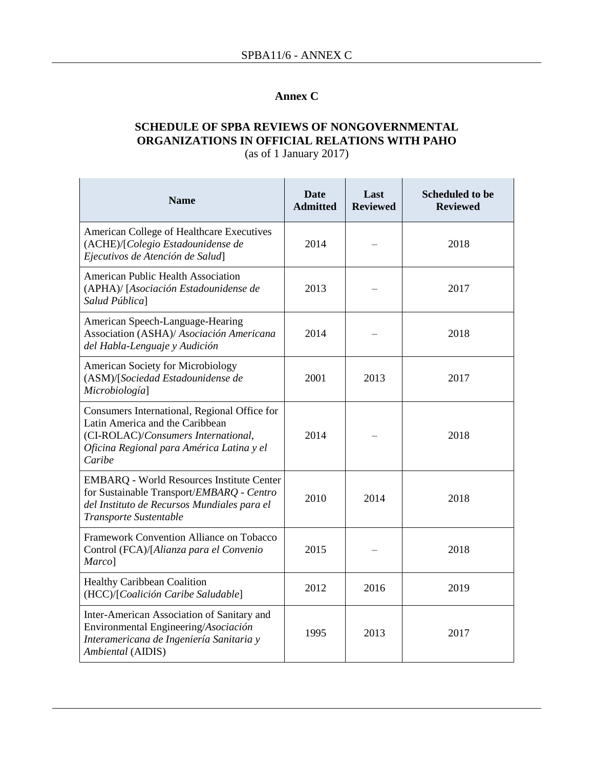## **Annex C**

### **SCHEDULE OF SPBA REVIEWS OF NONGOVERNMENTAL ORGANIZATIONS IN OFFICIAL RELATIONS WITH PAHO** (as of 1 January 2017)

| <b>Name</b>                                                                                                                                                                   | <b>Date</b><br><b>Admitted</b> | Last<br><b>Reviewed</b> | <b>Scheduled to be</b><br><b>Reviewed</b> |
|-------------------------------------------------------------------------------------------------------------------------------------------------------------------------------|--------------------------------|-------------------------|-------------------------------------------|
| American College of Healthcare Executives<br>(ACHE)/[Colegio Estadounidense de<br>Ejecutivos de Atención de Salud]                                                            | 2014                           |                         | 2018                                      |
| American Public Health Association<br>(APHA)/ [Asociación Estadounidense de<br>Salud Pública]                                                                                 | 2013                           |                         | 2017                                      |
| American Speech-Language-Hearing<br>Association (ASHA)/ Asociación Americana<br>del Habla-Lenguaje y Audición                                                                 | 2014                           |                         | 2018                                      |
| <b>American Society for Microbiology</b><br>(ASM)/[Sociedad Estadounidense de<br>Microbiología]                                                                               | 2001                           | 2013                    | 2017                                      |
| Consumers International, Regional Office for<br>Latin America and the Caribbean<br>(CI-ROLAC)/Consumers International,<br>Oficina Regional para América Latina y el<br>Caribe | 2014                           |                         | 2018                                      |
| <b>EMBARQ</b> - World Resources Institute Center<br>for Sustainable Transport/EMBARQ - Centro<br>del Instituto de Recursos Mundiales para el<br>Transporte Sustentable        | 2010                           | 2014                    | 2018                                      |
| Framework Convention Alliance on Tobacco<br>Control (FCA)/[Alianza para el Convenio<br>Marco]                                                                                 | 2015                           |                         | 2018                                      |
| <b>Healthy Caribbean Coalition</b><br>(HCC)/[Coalición Caribe Saludable]                                                                                                      | 2012                           | 2016                    | 2019                                      |
| Inter-American Association of Sanitary and<br>Environmental Engineering/Asociación<br>Interamericana de Ingeniería Sanitaria y<br>Ambiental (AIDIS)                           | 1995                           | 2013                    | 2017                                      |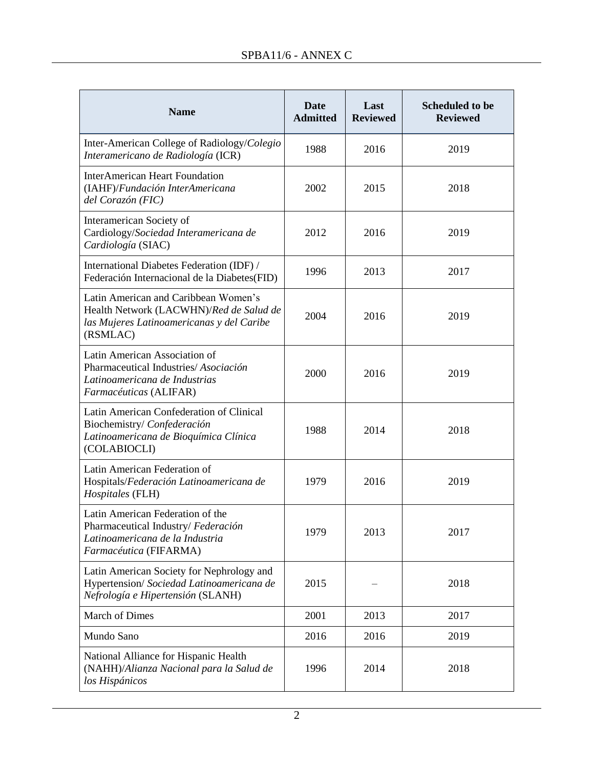$\mathbb{R}^2$ 

 $\overline{a}$ 

| <b>Name</b>                                                                                                                              | <b>Date</b><br><b>Admitted</b> | Last<br><b>Reviewed</b> | <b>Scheduled to be</b><br><b>Reviewed</b> |
|------------------------------------------------------------------------------------------------------------------------------------------|--------------------------------|-------------------------|-------------------------------------------|
| Inter-American College of Radiology/Colegio<br>Interamericano de Radiología (ICR)                                                        | 1988                           | 2016                    | 2019                                      |
| <b>InterAmerican Heart Foundation</b><br>(IAHF)/Fundación InterAmericana<br>del Corazón (FIC)                                            | 2002                           | 2015                    | 2018                                      |
| Interamerican Society of<br>Cardiology/Sociedad Interamericana de<br>Cardiología (SIAC)                                                  | 2012                           | 2016                    | 2019                                      |
| International Diabetes Federation (IDF) /<br>Federación Internacional de la Diabetes(FID)                                                | 1996                           | 2013                    | 2017                                      |
| Latin American and Caribbean Women's<br>Health Network (LACWHN)/Red de Salud de<br>las Mujeres Latinoamericanas y del Caribe<br>(RSMLAC) | 2004                           | 2016                    | 2019                                      |
| Latin American Association of<br>Pharmaceutical Industries/Asociación<br>Latinoamericana de Industrias<br>Farmacéuticas (ALIFAR)         | 2000                           | 2016                    | 2019                                      |
| Latin American Confederation of Clinical<br>Biochemistry/Confederación<br>Latinoamericana de Bioquímica Clínica<br>(COLABIOCLI)          | 1988                           | 2014                    | 2018                                      |
| Latin American Federation of<br>Hospitals/Federación Latinoamericana de<br>Hospitales (FLH)                                              | 1979                           | 2016                    | 2019                                      |
| Latin American Federation of the<br>Pharmaceutical Industry/ Federación<br>Latinoamericana de la Industria<br>Farmacéutica (FIFARMA)     | 1979                           | 2013                    | 2017                                      |
| Latin American Society for Nephrology and<br>Hypertension/ Sociedad Latinoamericana de<br>Nefrología e Hipertensión (SLANH)              | 2015                           |                         | 2018                                      |
| <b>March of Dimes</b>                                                                                                                    | 2001                           | 2013                    | 2017                                      |
| Mundo Sano                                                                                                                               | 2016                           | 2016                    | 2019                                      |
| National Alliance for Hispanic Health<br>(NAHH)/Alianza Nacional para la Salud de<br>los Hispánicos                                      | 1996                           | 2014                    | 2018                                      |